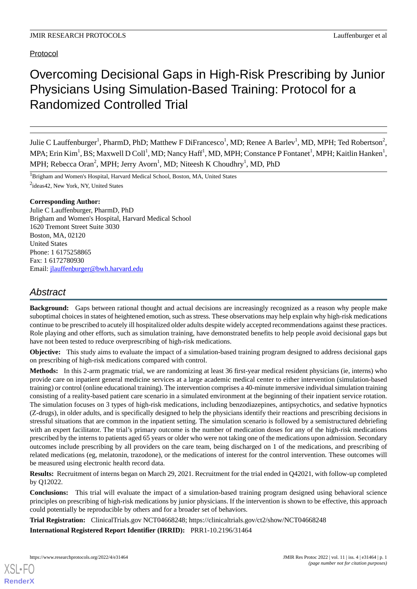# Overcoming Decisional Gaps in High-Risk Prescribing by Junior Physicians Using Simulation-Based Training: Protocol for a Randomized Controlled Trial

Julie C Lauffenburger<sup>1</sup>, PharmD, PhD; Matthew F DiFrancesco<sup>1</sup>, MD; Renee A Barlev<sup>1</sup>, MD, MPH; Ted Robertson<sup>2</sup>, MPA; Erin Kim<sup>1</sup>, BS; Maxwell D Coll<sup>1</sup>, MD; Nancy Haff<sup>1</sup>, MD, MPH; Constance P Fontanet<sup>1</sup>, MPH; Kaitlin Hanken<sup>1</sup>, MPH; Rebecca Oran<sup>2</sup>, MPH; Jerry Avorn<sup>1</sup>, MD; Niteesh K Choudhry<sup>1</sup>, MD, PhD

<sup>1</sup>Brigham and Women's Hospital, Harvard Medical School, Boston, MA, United States <sup>2</sup>ideas42, New York, NY, United States

## **Corresponding Author:**

Julie C Lauffenburger, PharmD, PhD Brigham and Women's Hospital, Harvard Medical School 1620 Tremont Street Suite 3030 Boston, MA, 02120 United States Phone: 1 6175258865 Fax: 1 6172780930 Email: [jlauffenburger@bwh.harvard.edu](mailto:jlauffenburger@bwh.harvard.edu)

## *Abstract*

**Background:** Gaps between rational thought and actual decisions are increasingly recognized as a reason why people make suboptimal choices in states of heightened emotion, such as stress. These observations may help explain why high-risk medications continue to be prescribed to acutely ill hospitalized older adults despite widely accepted recommendations against these practices. Role playing and other efforts, such as simulation training, have demonstrated benefits to help people avoid decisional gaps but have not been tested to reduce overprescribing of high-risk medications.

**Objective:** This study aims to evaluate the impact of a simulation-based training program designed to address decisional gaps on prescribing of high-risk medications compared with control.

**Methods:** In this 2-arm pragmatic trial, we are randomizing at least 36 first-year medical resident physicians (ie, interns) who provide care on inpatient general medicine services at a large academic medical center to either intervention (simulation-based training) or control (online educational training). The intervention comprises a 40-minute immersive individual simulation training consisting of a reality-based patient care scenario in a simulated environment at the beginning of their inpatient service rotation. The simulation focuses on 3 types of high-risk medications, including benzodiazepines, antipsychotics, and sedative hypnotics (Z-drugs), in older adults, and is specifically designed to help the physicians identify their reactions and prescribing decisions in stressful situations that are common in the inpatient setting. The simulation scenario is followed by a semistructured debriefing with an expert facilitator. The trial's primary outcome is the number of medication doses for any of the high-risk medications prescribed by the interns to patients aged 65 years or older who were not taking one of the medications upon admission. Secondary outcomes include prescribing by all providers on the care team, being discharged on 1 of the medications, and prescribing of related medications (eg, melatonin, trazodone), or the medications of interest for the control intervention. These outcomes will be measured using electronic health record data.

**Results:** Recruitment of interns began on March 29, 2021. Recruitment for the trial ended in Q42021, with follow-up completed by Q12022.

**Conclusions:** This trial will evaluate the impact of a simulation-based training program designed using behavioral science principles on prescribing of high-risk medications by junior physicians. If the intervention is shown to be effective, this approach could potentially be reproducible by others and for a broader set of behaviors.

**Trial Registration:** ClinicalTrials.gov NCT04668248; https://clinicaltrials.gov/ct2/show/NCT04668248

**International Registered Report Identifier (IRRID):** PRR1-10.2196/31464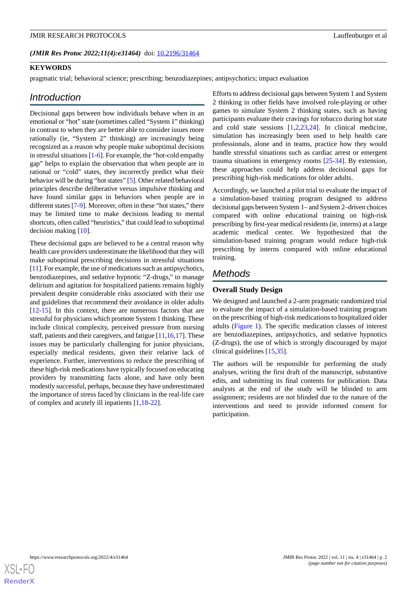#### (JMIR Res Protoc 2022;11(4):e31464) doi: [10.2196/31464](http://dx.doi.org/10.2196/31464)

## **KEYWORDS**

pragmatic trial; behavioral science; prescribing; benzodiazepines; antipsychotics; impact evaluation

## *Introduction*

Decisional gaps between how individuals behave when in an emotional or "hot" state (sometimes called "System 1" thinking) in contrast to when they are better able to consider issues more rationally (ie, "System 2" thinking) are increasingly being recognized as a reason why people make suboptimal decisions in stressful situations [\[1](#page-7-0)[-6](#page-7-1)]. For example, the "hot-cold empathy gap" helps to explain the observation that when people are in rational or "cold" states, they incorrectly predict what their behavior will be during "hot states" [[5\]](#page-7-2). Other related behavioral principles describe deliberative versus impulsive thinking and have found similar gaps in behaviors when people are in different states [\[7](#page-7-3)-[9](#page-7-4)]. Moreover, often in these "hot states," there may be limited time to make decisions leading to mental shortcuts, often called "heuristics," that could lead to suboptimal decision making [\[10](#page-7-5)].

These decisional gaps are believed to be a central reason why health care providers underestimate the likelihood that they will make suboptimal prescribing decisions in stressful situations [[11\]](#page-8-0). For example, the use of medications such as antipsychotics, benzodiazepines, and sedative hypnotic "Z-drugs," to manage delirium and agitation for hospitalized patients remains highly prevalent despite considerable risks associated with their use and guidelines that recommend their avoidance in older adults [[12](#page-8-1)[-15](#page-8-2)]. In this context, there are numerous factors that are stressful for physicians which promote System 1 thinking. These include clinical complexity, perceived pressure from nursing staff, patients and their caregivers, and fatigue [[11](#page-8-0)[,16](#page-8-3)[,17](#page-8-4)]. These issues may be particularly challenging for junior physicians, especially medical residents, given their relative lack of experience. Further, interventions to reduce the prescribing of these high-risk medications have typically focused on educating providers by transmitting facts alone, and have only been modestly successful, perhaps, because they have underestimated the importance of stress faced by clinicians in the real-life care of complex and acutely ill inpatients [\[1](#page-7-0),[18-](#page-8-5)[22\]](#page-8-6).

Efforts to address decisional gaps between System 1 and System 2 thinking in other fields have involved role-playing or other games to simulate System 2 thinking states, such as having participants evaluate their cravings for tobacco during hot state and cold state sessions [\[1](#page-7-0),[2,](#page-7-6)[23](#page-8-7),[24\]](#page-8-8). In clinical medicine, simulation has increasingly been used to help health care professionals, alone and in teams, practice how they would handle stressful situations such as cardiac arrest or emergent trauma situations in emergency rooms [\[25](#page-8-9)[-34](#page-9-0)]. By extension, these approaches could help address decisional gaps for prescribing high-risk medications for older adults.

Accordingly, we launched a pilot trial to evaluate the impact of a simulation-based training program designed to address decisional gaps between System 1– and System 2–driven choices compared with online educational training on high-risk prescribing by first-year medical residents (ie, interns) at a large academic medical center. We hypothesized that the simulation-based training program would reduce high-risk prescribing by interns compared with online educational training.

## *Methods*

## **Overall Study Design**

We designed and launched a 2-arm pragmatic randomized trial to evaluate the impact of a simulation-based training program on the prescribing of high-risk medications to hospitalized older adults [\(Figure 1](#page-2-0)). The specific medication classes of interest are benzodiazepines, antipsychotics, and sedative hypnotics (Z-drugs), the use of which is strongly discouraged by major clinical guidelines [\[15](#page-8-2)[,35](#page-9-1)].

The authors will be responsible for performing the study analyses, writing the first draft of the manuscript, substantive edits, and submitting its final contents for publication. Data analysts at the end of the study will be blinded to arm assignment; residents are not blinded due to the nature of the interventions and need to provide informed consent for participation.

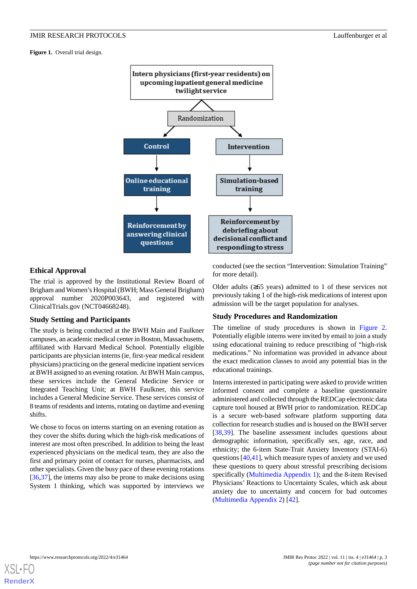<span id="page-2-0"></span>Figure 1. Overall trial design.



## **Ethical Approval**

The trial is approved by the Institutional Review Board of Brigham and Women's Hospital (BWH; Mass General Brigham) approval number 2020P003643, and registered with ClinicalTrials.gov (NCT04668248).

#### **Study Setting and Participants**

The study is being conducted at the BWH Main and Faulkner campuses, an academic medical center in Boston, Massachusetts, affiliated with Harvard Medical School. Potentially eligible participants are physician interns (ie, first-year medical resident physicians) practicing on the general medicine inpatient services at BWH assigned to an evening rotation. At BWH Main campus, these services include the General Medicine Service or Integrated Teaching Unit; at BWH Faulkner, this service includes a General Medicine Service. These services consist of 8 teams of residents and interns, rotating on daytime and evening shifts.

We chose to focus on interns starting on an evening rotation as they cover the shifts during which the high-risk medications of interest are most often prescribed. In addition to being the least experienced physicians on the medical team, they are also the first and primary point of contact for nurses, pharmacists, and other specialists. Given the busy pace of these evening rotations [[36](#page-9-2)[,37](#page-9-3)], the interns may also be prone to make decisions using System 1 thinking, which was supported by interviews we conducted (see the section "Intervention: Simulation Training" for more detail).

Older adults (≥65 years) admitted to 1 of these services not previously taking 1 of the high-risk medications of interest upon admission will be the target population for analyses.

### **Study Procedures and Randomization**

The timeline of study procedures is shown in [Figure 2](#page-3-0). Potentially eligible interns were invited by email to join a study using educational training to reduce prescribing of "high-risk medications." No information was provided in advance about the exact medication classes to avoid any potential bias in the educational trainings.

Interns interested in participating were asked to provide written informed consent and complete a baseline questionnaire administered and collected through the REDCap electronic data capture tool housed at BWH prior to randomization. REDCap is a secure web-based software platform supporting data collection for research studies and is housed on the BWH server [[38,](#page-9-4)[39\]](#page-9-5). The baseline assessment includes questions about demographic information, specifically sex, age, race, and ethnicity; the 6-item State-Trait Anxiety Inventory (STAI-6) questions [[40](#page-9-6)[,41](#page-9-7)], which measure types of anxiety and we used these questions to query about stressful prescribing decisions specifically [\(Multimedia Appendix 1\)](#page-7-7); and the 8-item Revised Physicians' Reactions to Uncertainty Scales, which ask about anxiety due to uncertainty and concern for bad outcomes ([Multimedia Appendix 2](#page-7-8)) [\[42](#page-9-8)].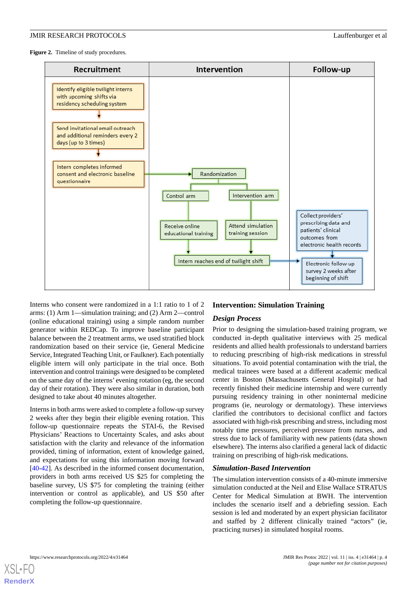<span id="page-3-0"></span>Figure 2. Timeline of study procedures.



Interns who consent were randomized in a 1:1 ratio to 1 of 2 arms: (1) Arm 1—simulation training; and (2) Arm 2—control (online educational training) using a simple random number generator within REDCap. To improve baseline participant balance between the 2 treatment arms, we used stratified block randomization based on their service (ie, General Medicine Service, Integrated Teaching Unit, or Faulkner). Each potentially eligible intern will only participate in the trial once. Both intervention and control trainings were designed to be completed on the same day of the interns' evening rotation (eg, the second day of their rotation). They were also similar in duration, both designed to take about 40 minutes altogether.

Interns in both arms were asked to complete a follow-up survey 2 weeks after they begin their eligible evening rotation. This follow-up questionnaire repeats the STAI-6, the Revised Physicians' Reactions to Uncertainty Scales, and asks about satisfaction with the clarity and relevance of the information provided, timing of information, extent of knowledge gained, and expectations for using this information moving forward [[40](#page-9-6)[-42](#page-9-8)]. As described in the informed consent documentation, providers in both arms received US \$25 for completing the baseline survey, US \$75 for completing the training (either intervention or control as applicable), and US \$50 after completing the follow-up questionnaire.

## **Intervention: Simulation Training**

## *Design Process*

Prior to designing the simulation-based training program, we conducted in-depth qualitative interviews with 25 medical residents and allied health professionals to understand barriers to reducing prescribing of high-risk medications in stressful situations. To avoid potential contamination with the trial, the medical trainees were based at a different academic medical center in Boston (Massachusetts General Hospital) or had recently finished their medicine internship and were currently pursuing residency training in other noninternal medicine programs (ie, neurology or dermatology). These interviews clarified the contributors to decisional conflict and factors associated with high-risk prescribing and stress, including most notably time pressures, perceived pressure from nurses, and stress due to lack of familiarity with new patients (data shown elsewhere). The interns also clarified a general lack of didactic training on prescribing of high-risk medications.

#### *Simulation-Based Intervention*

The simulation intervention consists of a 40-minute immersive simulation conducted at the Neil and Elise Wallace STRATUS Center for Medical Simulation at BWH. The intervention includes the scenario itself and a debriefing session. Each session is led and moderated by an expert physician facilitator and staffed by 2 different clinically trained "actors" (ie, practicing nurses) in simulated hospital rooms.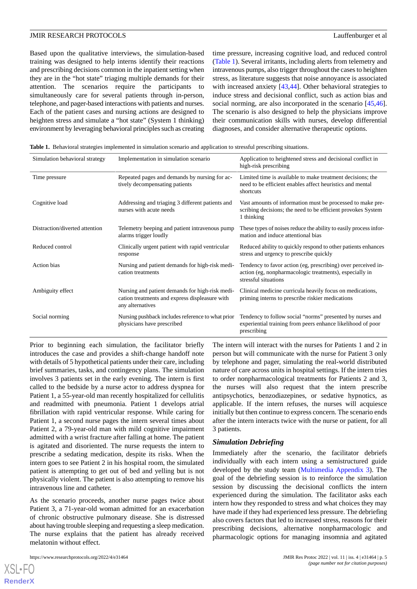Based upon the qualitative interviews, the simulation-based training was designed to help interns identify their reactions and prescribing decisions common in the inpatient setting when they are in the "hot state" triaging multiple demands for their attention. The scenarios require the participants to simultaneously care for several patients through in-person, telephone, and pager-based interactions with patients and nurses. Each of the patient cases and nursing actions are designed to heighten stress and simulate a "hot state" (System 1 thinking) environment by leveraging behavioral principles such as creating time pressure, increasing cognitive load, and reduced control ([Table 1](#page-4-0)). Several irritants, including alerts from telemetry and intravenous pumps, also trigger throughout the cases to heighten stress, as literature suggests that noise annoyance is associated with increased anxiety [[43,](#page-9-9)[44](#page-9-10)]. Other behavioral strategies to induce stress and decisional conflict, such as action bias and social norming, are also incorporated in the scenario  $[45, 46]$  $[45, 46]$  $[45, 46]$ . The scenario is also designed to help the physicians improve their communication skills with nurses, develop differential diagnoses, and consider alternative therapeutic options.

<span id="page-4-0"></span>

|  |  |  |  | Table 1. Behavioral strategies implemented in simulation scenario and application to stressful prescribing situations. |  |  |  |  |  |
|--|--|--|--|------------------------------------------------------------------------------------------------------------------------|--|--|--|--|--|
|--|--|--|--|------------------------------------------------------------------------------------------------------------------------|--|--|--|--|--|

| Simulation behavioral strategy | Implementation in simulation scenario                                                                                 | Application to heightened stress and decisional conflict in<br>high-risk prescribing                                                             |
|--------------------------------|-----------------------------------------------------------------------------------------------------------------------|--------------------------------------------------------------------------------------------------------------------------------------------------|
| Time pressure                  | Repeated pages and demands by nursing for ac-<br>tively decompensating patients                                       | Limited time is available to make treatment decisions; the<br>need to be efficient enables affect heuristics and mental<br>shortcuts             |
| Cognitive load                 | Addressing and triaging 3 different patients and<br>nurses with acute needs                                           | Vast amounts of information must be processed to make pre-<br>scribing decisions; the need to be efficient provokes System<br>1 thinking         |
| Distraction/diverted attention | Telemetry beeping and patient intravenous pump<br>alarms trigger loudly                                               | These types of noises reduce the ability to easily process infor-<br>mation and induce attentional bias                                          |
| Reduced control                | Clinically urgent patient with rapid ventricular<br>response                                                          | Reduced ability to quickly respond to other patients enhances<br>stress and urgency to prescribe quickly                                         |
| Action bias                    | Nursing and patient demands for high-risk medi-<br>cation treatments                                                  | Tendency to favor action (eg, prescribing) over perceived in-<br>action (eg, nonpharmacologic treatments), especially in<br>stressful situations |
| Ambiguity effect               | Nursing and patient demands for high-risk medi-<br>cation treatments and express displeasure with<br>any alternatives | Clinical medicine curricula heavily focus on medications,<br>priming interns to prescribe riskier medications                                    |
| Social norming                 | Nursing pushback includes reference to what prior<br>physicians have prescribed                                       | Tendency to follow social "norms" presented by nurses and<br>experiential training from peers enhance likelihood of poor<br>prescribing          |

Prior to beginning each simulation, the facilitator briefly introduces the case and provides a shift-change handoff note with details of 5 hypothetical patients under their care, including brief summaries, tasks, and contingency plans. The simulation involves 3 patients set in the early evening. The intern is first called to the bedside by a nurse actor to address dyspnea for Patient 1, a 55-year-old man recently hospitalized for cellulitis and readmitted with pneumonia. Patient 1 develops atrial fibrillation with rapid ventricular response. While caring for Patient 1, a second nurse pages the intern several times about Patient 2, a 79-year-old man with mild cognitive impairment admitted with a wrist fracture after falling at home. The patient is agitated and disoriented. The nurse requests the intern to prescribe a sedating medication, despite its risks. When the intern goes to see Patient 2 in his hospital room, the simulated patient is attempting to get out of bed and yelling but is not physically violent. The patient is also attempting to remove his intravenous line and catheter.

As the scenario proceeds, another nurse pages twice about Patient 3, a 71-year-old woman admitted for an exacerbation of chronic obstructive pulmonary disease. She is distressed about having trouble sleeping and requesting a sleep medication. The nurse explains that the patient has already received melatonin without effect.

[XSL](http://www.w3.org/Style/XSL)•FO **[RenderX](http://www.renderx.com/)**

The intern will interact with the nurses for Patients 1 and 2 in person but will communicate with the nurse for Patient 3 only by telephone and pager, simulating the real-world distributed nature of care across units in hospital settings. If the intern tries to order nonpharmacological treatments for Patients 2 and 3, the nurses will also request that the intern prescribe antipsychotics, benzodiazepines, or sedative hypnotics, as applicable. If the intern refuses, the nurses will acquiesce initially but then continue to express concern. The scenario ends after the intern interacts twice with the nurse or patient, for all 3 patients.

#### *Simulation Debriefing*

Immediately after the scenario, the facilitator debriefs individually with each intern using a semistructured guide developed by the study team [\(Multimedia Appendix 3\)](#page-7-9). The goal of the debriefing session is to reinforce the simulation session by discussing the decisional conflicts the intern experienced during the simulation. The facilitator asks each intern how they responded to stress and what choices they may have made if they had experienced less pressure. The debriefing also covers factors that led to increased stress, reasons for their prescribing decisions, alternative nonpharmacologic and pharmacologic options for managing insomnia and agitated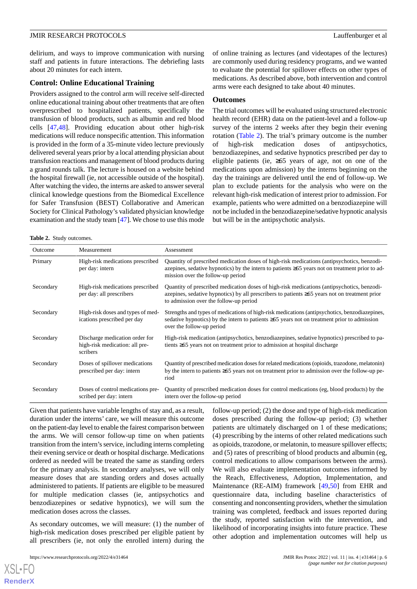delirium, and ways to improve communication with nursing staff and patients in future interactions. The debriefing lasts about 20 minutes for each intern.

#### **Control: Online Educational Training**

Providers assigned to the control arm will receive self-directed online educational training about other treatments that are often overprescribed to hospitalized patients, specifically the transfusion of blood products, such as albumin and red blood cells [\[47](#page-9-13),[48\]](#page-9-14). Providing education about other high-risk medications will reduce nonspecific attention. This information is provided in the form of a 35-minute video lecture previously delivered several years prior by a local attending physician about transfusion reactions and management of blood products during a grand rounds talk. The lecture is housed on a website behind the hospital firewall (ie, not accessible outside of the hospital). After watching the video, the interns are asked to answer several clinical knowledge questions from the Biomedical Excellence for Safer Transfusion (BEST) Collaborative and American Society for Clinical Pathology's validated physician knowledge examination and the study team [[47](#page-9-13)]. We chose to use this mode

of online training as lectures (and videotapes of the lectures) are commonly used during residency programs, and we wanted to evaluate the potential for spillover effects on other types of medications. As described above, both intervention and control arms were each designed to take about 40 minutes.

#### **Outcomes**

The trial outcomes will be evaluated using structured electronic health record (EHR) data on the patient-level and a follow-up survey of the interns 2 weeks after they begin their evening rotation [\(Table 2](#page-5-0)). The trial's primary outcome is the number of high-risk medication doses of antipsychotics, benzodiazepines, and sedative hypnotics prescribed per day to eligible patients (ie, ≥65 years of age, not on one of the medications upon admission) by the interns beginning on the day the trainings are delivered until the end of follow-up. We plan to exclude patients for the analysis who were on the relevant high-risk medication of interest prior to admission. For example, patients who were admitted on a benzodiazepine will not be included in the benzodiazepine/sedative hypnotic analysis but will be in the antipsychotic analysis.

<span id="page-5-0"></span>**Table 2.** Study outcomes.

| Outcome   | Measurement                                                                  | Assessment                                                                                                                                                                                                                                  |
|-----------|------------------------------------------------------------------------------|---------------------------------------------------------------------------------------------------------------------------------------------------------------------------------------------------------------------------------------------|
| Primary   | High-risk medications prescribed<br>per day: intern                          | Quantity of prescribed medication doses of high-risk medications (antipsychotics, benzodi-<br>azepines, sedative hypnotics) by the intern to patients $\geq 65$ years not on treatment prior to ad-<br>mission over the follow-up period    |
| Secondary | High-risk medications prescribed<br>per day: all prescribers                 | Quantity of prescribed medication doses of high-risk medications (antipsychotics, benzodi-<br>azepines, sedative hypnotics) by all prescribers to patients $\geq 65$ years not on treatment prior<br>to admission over the follow-up period |
| Secondary | High-risk doses and types of med-<br>ications prescribed per day             | Strengths and types of medications of high-risk medications (antipsychotics, benzodiazepines,<br>sedative hypnotics) by the intern to patients $\geq 65$ years not on treatment prior to admission<br>over the follow-up period             |
| Secondary | Discharge medication order for<br>high-risk medication: all pre-<br>scribers | High-risk medication (antipsychotics, benzodiazepines, sedative hypnotics) prescribed to pa-<br>tients $\geq 65$ years not on treatment prior to admission at hospital discharge                                                            |
| Secondary | Doses of spillover medications<br>prescribed per day: intern                 | Quantity of prescribed medication doses for related medications (opioids, trazodone, melatonin)<br>by the intern to patients $\geq 65$ years not on treatment prior to admission over the follow-up pe-<br>riod                             |
| Secondary | Doses of control medications pre-<br>scribed per day: intern                 | Quantity of prescribed medication doses for control medications (eg, blood products) by the<br>intern over the follow-up period                                                                                                             |

Given that patients have variable lengths of stay and, as a result, duration under the interns' care, we will measure this outcome on the patient-day level to enable the fairest comparison between the arms. We will censor follow-up time on when patients transition from the intern's service, including interns completing their evening service or death or hospital discharge. Medications ordered as needed will be treated the same as standing orders for the primary analysis. In secondary analyses, we will only measure doses that are standing orders and doses actually administered to patients. If patients are eligible to be measured for multiple medication classes (ie, antipsychotics and benzodiazepines or sedative hypnotics), we will sum the medication doses across the classes.

As secondary outcomes, we will measure: (1) the number of high-risk medication doses prescribed per eligible patient by all prescribers (ie, not only the enrolled intern) during the

[XSL](http://www.w3.org/Style/XSL)•FO **[RenderX](http://www.renderx.com/)**

follow-up period; (2) the dose and type of high-risk medication doses prescribed during the follow-up period; (3) whether patients are ultimately discharged on 1 of these medications; (4) prescribing by the interns of other related medications such as opioids, trazodone, or melatonin, to measure spillover effects; and (5) rates of prescribing of blood products and albumin (eg, control medications to allow comparisons between the arms). We will also evaluate implementation outcomes informed by the Reach, Effectiveness, Adoption, Implementation, and Maintenance (RE-AIM) framework [[49,](#page-9-15)[50](#page-9-16)] from EHR and questionnaire data, including baseline characteristics of consenting and nonconsenting providers, whether the simulation training was completed, feedback and issues reported during the study, reported satisfaction with the intervention, and likelihood of incorporating insights into future practice. These other adoption and implementation outcomes will help us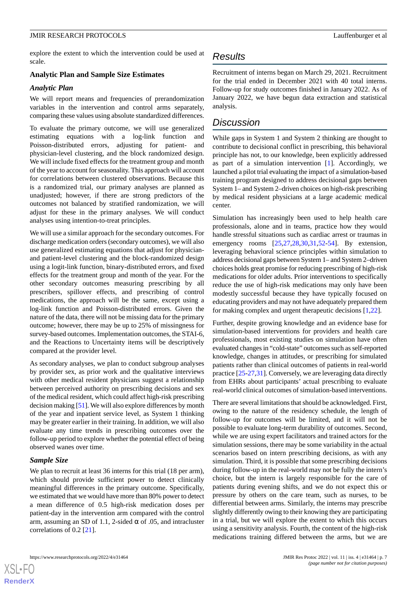explore the extent to which the intervention could be used at scale.

## **Analytic Plan and Sample Size Estimates**

#### *Analytic Plan*

We will report means and frequencies of prerandomization variables in the intervention and control arms separately, comparing these values using absolute standardized differences.

To evaluate the primary outcome, we will use generalized estimating equations with a log-link function and Poisson-distributed errors, adjusting for patient- and physician-level clustering, and the block randomized design. We will include fixed effects for the treatment group and month of the year to account for seasonality. This approach will account for correlations between clustered observations. Because this is a randomized trial, our primary analyses are planned as unadjusted; however, if there are strong predictors of the outcomes not balanced by stratified randomization, we will adjust for these in the primary analyses. We will conduct analyses using intention-to-treat principles.

We will use a similar approach for the secondary outcomes. For discharge medication orders (secondary outcomes), we will also use generalized estimating equations that adjust for physicianand patient-level clustering and the block-randomized design using a logit-link function, binary-distributed errors, and fixed effects for the treatment group and month of the year. For the other secondary outcomes measuring prescribing by all prescribers, spillover effects, and prescribing of control medications, the approach will be the same, except using a log-link function and Poisson-distributed errors. Given the nature of the data, there will not be missing data for the primary outcome; however, there may be up to 25% of missingness for survey-based outcomes. Implementation outcomes, the STAI-6, and the Reactions to Uncertainty items will be descriptively compared at the provider level.

As secondary analyses, we plan to conduct subgroup analyses by provider sex, as prior work and the qualitative interviews with other medical resident physicians suggest a relationship between perceived authority on prescribing decisions and sex of the medical resident, which could affect high-risk prescribing decision making [[51](#page-9-17)]. We will also explore differences by month of the year and inpatient service level, as System 1 thinking may be greater earlier in their training. In addition, we will also evaluate any time trends in prescribing outcomes over the follow-up period to explore whether the potential effect of being observed wanes over time.

#### *Sample Size*

[XSL](http://www.w3.org/Style/XSL)•FO **[RenderX](http://www.renderx.com/)**

We plan to recruit at least 36 interns for this trial (18 per arm), which should provide sufficient power to detect clinically meaningful differences in the primary outcome. Specifically, we estimated that we would have more than 80% power to detect a mean difference of 0.5 high-risk medication doses per patient-day in the intervention arm compared with the control arm, assuming an SD of 1.1, 2-sided  $\alpha$  of .05, and intracluster correlations of 0.2 [\[21](#page-8-10)].

## *Results*

Recruitment of interns began on March 29, 2021. Recruitment for the trial ended in December 2021 with 40 total interns. Follow-up for study outcomes finished in January 2022. As of January 2022, we have begun data extraction and statistical analysis.

## *Discussion*

While gaps in System 1 and System 2 thinking are thought to contribute to decisional conflict in prescribing, this behavioral principle has not, to our knowledge, been explicitly addressed as part of a simulation intervention [\[1](#page-7-0)]. Accordingly, we launched a pilot trial evaluating the impact of a simulation-based training program designed to address decisional gaps between System 1– and System 2–driven choices on high-risk prescribing by medical resident physicians at a large academic medical center.

Simulation has increasingly been used to help health care professionals, alone and in teams, practice how they would handle stressful situations such as cardiac arrest or traumas in emergency rooms [\[25](#page-8-9),[27,](#page-8-11)[28](#page-8-12),[30,](#page-8-13)[31](#page-8-14),[52-](#page-9-18)[54\]](#page-10-0). By extension, leveraging behavioral science principles within simulation to address decisional gaps between System 1– and System 2–driven choices holds great promise for reducing prescribing of high-risk medications for older adults. Prior interventions to specifically reduce the use of high-risk medications may only have been modestly successful because they have typically focused on educating providers and may not have adequately prepared them for making complex and urgent therapeutic decisions [[1](#page-7-0)[,22](#page-8-6)].

Further, despite growing knowledge and an evidence base for simulation-based interventions for providers and health care professionals, most existing studies on simulation have often evaluated changes in "cold-state" outcomes such as self-reported knowledge, changes in attitudes, or prescribing for simulated patients rather than clinical outcomes of patients in real-world practice [\[25](#page-8-9)-[27,](#page-8-11)[31](#page-8-14)]. Conversely, we are leveraging data directly from EHRs about participants' actual prescribing to evaluate real-world clinical outcomes of simulation-based interventions.

There are several limitations that should be acknowledged. First, owing to the nature of the residency schedule, the length of follow-up for outcomes will be limited, and it will not be possible to evaluate long-term durability of outcomes. Second, while we are using expert facilitators and trained actors for the simulation sessions, there may be some variability in the actual scenarios based on intern prescribing decisions, as with any simulation. Third, it is possible that some prescribing decisions during follow-up in the real-world may not be fully the intern's choice, but the intern is largely responsible for the care of patients during evening shifts, and we do not expect this or pressure by others on the care team, such as nurses, to be differential between arms. Similarly, the interns may prescribe slightly differently owing to their knowing they are participating in a trial, but we will explore the extent to which this occurs using a sensitivity analysis. Fourth, the content of the high-risk medications training differed between the arms, but we are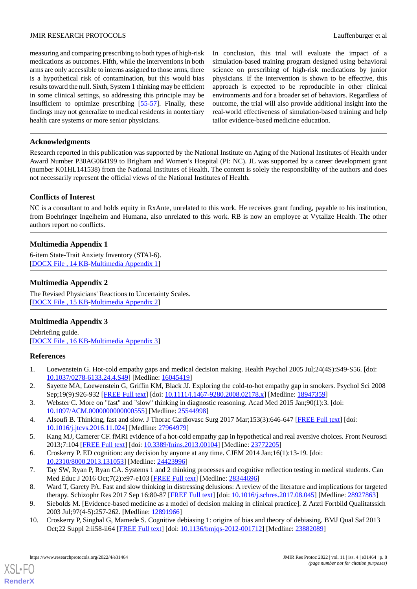measuring and comparing prescribing to both types of high-risk medications as outcomes. Fifth, while the interventions in both arms are only accessible to interns assigned to those arms, there is a hypothetical risk of contamination, but this would bias results toward the null. Sixth, System 1 thinking may be efficient in some clinical settings, so addressing this principle may be insufficient to optimize prescribing [[55-](#page-10-1)[57](#page-10-2)]. Finally, these findings may not generalize to medical residents in nontertiary health care systems or more senior physicians.

In conclusion, this trial will evaluate the impact of a simulation-based training program designed using behavioral science on prescribing of high-risk medications by junior physicians. If the intervention is shown to be effective, this approach is expected to be reproducible in other clinical environments and for a broader set of behaviors. Regardless of outcome, the trial will also provide additional insight into the real-world effectiveness of simulation-based training and help tailor evidence-based medicine education.

### **Acknowledgments**

Research reported in this publication was supported by the National Institute on Aging of the National Institutes of Health under Award Number P30AG064199 to Brigham and Women's Hospital (PI: NC). JL was supported by a career development grant (number K01HL141538) from the National Institutes of Health. The content is solely the responsibility of the authors and does not necessarily represent the official views of the National Institutes of Health.

## **Conflicts of Interest**

<span id="page-7-7"></span>NC is a consultant to and holds equity in RxAnte, unrelated to this work. He receives grant funding, payable to his institution, from Boehringer Ingelheim and Humana, also unrelated to this work. RB is now an employee at Vytalize Health. The other authors report no conflicts.

## **Multimedia Appendix 1**

<span id="page-7-8"></span>6-item State-Trait Anxiety Inventory (STAI-6). [[DOCX File , 14 KB](https://jmir.org/api/download?alt_name=resprot_v11i4e31464_app1.docx&filename=35705fbd0a719d4bc50e0d8b6b60d7d0.docx)-[Multimedia Appendix 1\]](https://jmir.org/api/download?alt_name=resprot_v11i4e31464_app1.docx&filename=35705fbd0a719d4bc50e0d8b6b60d7d0.docx)

## **Multimedia Appendix 2**

<span id="page-7-9"></span>The Revised Physicians' Reactions to Uncertainty Scales. [[DOCX File , 15 KB](https://jmir.org/api/download?alt_name=resprot_v11i4e31464_app2.docx&filename=49c91d8bac334a853ccc5380602a9869.docx)-[Multimedia Appendix 2\]](https://jmir.org/api/download?alt_name=resprot_v11i4e31464_app2.docx&filename=49c91d8bac334a853ccc5380602a9869.docx)

## **Multimedia Appendix 3**

<span id="page-7-0"></span>Debriefing guide. [[DOCX File , 16 KB](https://jmir.org/api/download?alt_name=resprot_v11i4e31464_app3.docx&filename=73ef79e6d4eec364d1c47995a66b30d3.docx)-[Multimedia Appendix 3\]](https://jmir.org/api/download?alt_name=resprot_v11i4e31464_app3.docx&filename=73ef79e6d4eec364d1c47995a66b30d3.docx)

#### <span id="page-7-6"></span>**References**

- 1. Loewenstein G. Hot-cold empathy gaps and medical decision making. Health Psychol 2005 Jul;24(4S):S49-S56. [doi: [10.1037/0278-6133.24.4.S49](http://dx.doi.org/10.1037/0278-6133.24.4.S49)] [Medline: [16045419\]](http://www.ncbi.nlm.nih.gov/entrez/query.fcgi?cmd=Retrieve&db=PubMed&list_uids=16045419&dopt=Abstract)
- <span id="page-7-2"></span>2. Sayette MA, Loewenstein G, Griffin KM, Black JJ. Exploring the cold-to-hot empathy gap in smokers. Psychol Sci 2008 Sep;19(9):926-932 [[FREE Full text](http://europepmc.org/abstract/MED/18947359)] [doi: [10.1111/j.1467-9280.2008.02178.x\]](http://dx.doi.org/10.1111/j.1467-9280.2008.02178.x) [Medline: [18947359\]](http://www.ncbi.nlm.nih.gov/entrez/query.fcgi?cmd=Retrieve&db=PubMed&list_uids=18947359&dopt=Abstract)
- <span id="page-7-1"></span>3. Webster C. More on "fast" and "slow" thinking in diagnostic reasoning. Acad Med 2015 Jan;90(1):3. [doi: [10.1097/ACM.0000000000000555\]](http://dx.doi.org/10.1097/ACM.0000000000000555) [Medline: [25544998](http://www.ncbi.nlm.nih.gov/entrez/query.fcgi?cmd=Retrieve&db=PubMed&list_uids=25544998&dopt=Abstract)]
- <span id="page-7-3"></span>4. Alsoufi B. Thinking, fast and slow. J Thorac Cardiovasc Surg 2017 Mar;153(3):646-647 [[FREE Full text](https://linkinghub.elsevier.com/retrieve/pii/S0022-5223(16)31614-2)] [doi: [10.1016/j.jtcvs.2016.11.024](http://dx.doi.org/10.1016/j.jtcvs.2016.11.024)] [Medline: [27964979](http://www.ncbi.nlm.nih.gov/entrez/query.fcgi?cmd=Retrieve&db=PubMed&list_uids=27964979&dopt=Abstract)]
- 5. Kang MJ, Camerer CF. fMRI evidence of a hot-cold empathy gap in hypothetical and real aversive choices. Front Neurosci 2013;7:104 [[FREE Full text](https://doi.org/10.3389/fnins.2013.00104)] [doi: [10.3389/fnins.2013.00104\]](http://dx.doi.org/10.3389/fnins.2013.00104) [Medline: [23772205\]](http://www.ncbi.nlm.nih.gov/entrez/query.fcgi?cmd=Retrieve&db=PubMed&list_uids=23772205&dopt=Abstract)
- <span id="page-7-4"></span>6. Croskerry P. ED cognition: any decision by anyone at any time. CJEM 2014 Jan;16(1):13-19. [doi: [10.2310/8000.2013.131053\]](http://dx.doi.org/10.2310/8000.2013.131053) [Medline: [24423996\]](http://www.ncbi.nlm.nih.gov/entrez/query.fcgi?cmd=Retrieve&db=PubMed&list_uids=24423996&dopt=Abstract)
- <span id="page-7-5"></span>7. Tay SW, Ryan P, Ryan CA. Systems 1 and 2 thinking processes and cognitive reflection testing in medical students. Can Med Educ J 2016 Oct;7(2):e97-e103 [[FREE Full text](http://europepmc.org/abstract/MED/28344696)] [Medline: [28344696](http://www.ncbi.nlm.nih.gov/entrez/query.fcgi?cmd=Retrieve&db=PubMed&list_uids=28344696&dopt=Abstract)]
- 8. Ward T, Garety PA. Fast and slow thinking in distressing delusions: A review of the literature and implications for targeted therapy. Schizophr Res 2017 Sep 16:80-87 [\[FREE Full text\]](https://linkinghub.elsevier.com/retrieve/pii/S0920-9964(17)30521-2) [doi: [10.1016/j.schres.2017.08.045\]](http://dx.doi.org/10.1016/j.schres.2017.08.045) [Medline: [28927863\]](http://www.ncbi.nlm.nih.gov/entrez/query.fcgi?cmd=Retrieve&db=PubMed&list_uids=28927863&dopt=Abstract)
- 9. Siebolds M. [Evidence-based medicine as a model of decision making in clinical practice]. Z Arztl Fortbild Qualitatssich 2003 Jul;97(4-5):257-262. [Medline: [12891966](http://www.ncbi.nlm.nih.gov/entrez/query.fcgi?cmd=Retrieve&db=PubMed&list_uids=12891966&dopt=Abstract)]
- 10. Croskerry P, Singhal G, Mamede S. Cognitive debiasing 1: origins of bias and theory of debiasing. BMJ Qual Saf 2013 Oct;22 Suppl 2:ii58-ii64 [\[FREE Full text\]](http://qualitysafety.bmj.com/lookup/pmidlookup?view=long&pmid=23882089) [doi: [10.1136/bmjqs-2012-001712](http://dx.doi.org/10.1136/bmjqs-2012-001712)] [Medline: [23882089\]](http://www.ncbi.nlm.nih.gov/entrez/query.fcgi?cmd=Retrieve&db=PubMed&list_uids=23882089&dopt=Abstract)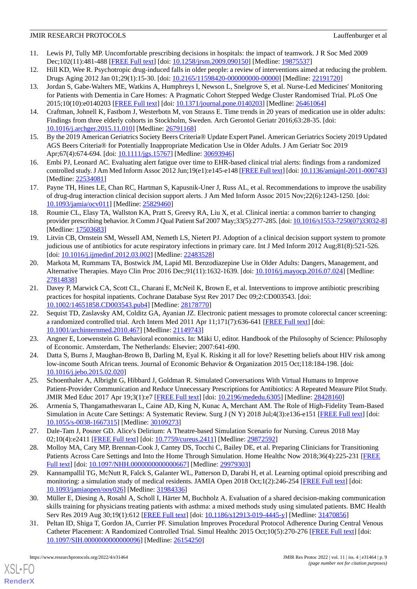- <span id="page-8-0"></span>11. Lewis PJ, Tully MP. Uncomfortable prescribing decisions in hospitals: the impact of teamwork. J R Soc Med 2009 Dec;102(11):481-488 [\[FREE Full text](http://europepmc.org/abstract/MED/19875537)] [doi: [10.1258/jrsm.2009.090150\]](http://dx.doi.org/10.1258/jrsm.2009.090150) [Medline: [19875537](http://www.ncbi.nlm.nih.gov/entrez/query.fcgi?cmd=Retrieve&db=PubMed&list_uids=19875537&dopt=Abstract)]
- <span id="page-8-1"></span>12. Hill KD, Wee R. Psychotropic drug-induced falls in older people: a review of interventions aimed at reducing the problem. Drugs Aging 2012 Jan 01;29(1):15-30. [doi: [10.2165/11598420-000000000-00000](http://dx.doi.org/10.2165/11598420-000000000-00000)] [Medline: [22191720\]](http://www.ncbi.nlm.nih.gov/entrez/query.fcgi?cmd=Retrieve&db=PubMed&list_uids=22191720&dopt=Abstract)
- 13. Jordan S, Gabe-Walters ME, Watkins A, Humphreys I, Newson L, Snelgrove S, et al. Nurse-Led Medicines' Monitoring for Patients with Dementia in Care Homes: A Pragmatic Cohort Stepped Wedge Cluster Randomised Trial. PLoS One 2015;10(10):e0140203 [\[FREE Full text](https://dx.plos.org/10.1371/journal.pone.0140203)] [doi: [10.1371/journal.pone.0140203\]](http://dx.doi.org/10.1371/journal.pone.0140203) [Medline: [26461064](http://www.ncbi.nlm.nih.gov/entrez/query.fcgi?cmd=Retrieve&db=PubMed&list_uids=26461064&dopt=Abstract)]
- <span id="page-8-2"></span>14. Craftman, Johnell K, Fastbom J, Westerbotn M, von Strauss E. Time trends in 20 years of medication use in older adults: Findings from three elderly cohorts in Stockholm, Sweden. Arch Gerontol Geriatr 2016;63:28-35. [doi: [10.1016/j.archger.2015.11.010](http://dx.doi.org/10.1016/j.archger.2015.11.010)] [Medline: [26791168\]](http://www.ncbi.nlm.nih.gov/entrez/query.fcgi?cmd=Retrieve&db=PubMed&list_uids=26791168&dopt=Abstract)
- <span id="page-8-3"></span>15. By the 2019 American Geriatrics Society Beers Criteria® Update Expert Panel. American Geriatrics Society 2019 Updated AGS Beers Criteria® for Potentially Inappropriate Medication Use in Older Adults. J Am Geriatr Soc 2019 Apr;67(4):674-694. [doi: [10.1111/jgs.15767\]](http://dx.doi.org/10.1111/jgs.15767) [Medline: [30693946](http://www.ncbi.nlm.nih.gov/entrez/query.fcgi?cmd=Retrieve&db=PubMed&list_uids=30693946&dopt=Abstract)]
- <span id="page-8-4"></span>16. Embi PJ, Leonard AC. Evaluating alert fatigue over time to EHR-based clinical trial alerts: findings from a randomized controlled study. J Am Med Inform Assoc 2012 Jun;19(e1):e145-e148 [[FREE Full text](http://europepmc.org/abstract/MED/22534081)] [doi: [10.1136/amiajnl-2011-000743](http://dx.doi.org/10.1136/amiajnl-2011-000743)] [Medline: [22534081](http://www.ncbi.nlm.nih.gov/entrez/query.fcgi?cmd=Retrieve&db=PubMed&list_uids=22534081&dopt=Abstract)]
- <span id="page-8-5"></span>17. Payne TH, Hines LE, Chan RC, Hartman S, Kapusnik-Uner J, Russ AL, et al. Recommendations to improve the usability of drug-drug interaction clinical decision support alerts. J Am Med Inform Assoc 2015 Nov;22(6):1243-1250. [doi: [10.1093/jamia/ocv011](http://dx.doi.org/10.1093/jamia/ocv011)] [Medline: [25829460](http://www.ncbi.nlm.nih.gov/entrez/query.fcgi?cmd=Retrieve&db=PubMed&list_uids=25829460&dopt=Abstract)]
- 18. Roumie CL, Elasy TA, Wallston KA, Pratt S, Greevy RA, Liu X, et al. Clinical inertia: a common barrier to changing provider prescribing behavior. Jt Comm J Qual Patient Saf 2007 May;33(5):277-285. [doi: [10.1016/s1553-7250\(07\)33032-8](http://dx.doi.org/10.1016/s1553-7250(07)33032-8)] [Medline: [17503683](http://www.ncbi.nlm.nih.gov/entrez/query.fcgi?cmd=Retrieve&db=PubMed&list_uids=17503683&dopt=Abstract)]
- 19. Litvin CB, Ornstein SM, Wessell AM, Nemeth LS, Nietert PJ. Adoption of a clinical decision support system to promote judicious use of antibiotics for acute respiratory infections in primary care. Int J Med Inform 2012 Aug;81(8):521-526. [doi: [10.1016/j.ijmedinf.2012.03.002\]](http://dx.doi.org/10.1016/j.ijmedinf.2012.03.002) [Medline: [22483528\]](http://www.ncbi.nlm.nih.gov/entrez/query.fcgi?cmd=Retrieve&db=PubMed&list_uids=22483528&dopt=Abstract)
- <span id="page-8-10"></span>20. Markota M, Rummans TA, Bostwick JM, Lapid MI. Benzodiazepine Use in Older Adults: Dangers, Management, and Alternative Therapies. Mayo Clin Proc 2016 Dec;91(11):1632-1639. [doi: [10.1016/j.mayocp.2016.07.024\]](http://dx.doi.org/10.1016/j.mayocp.2016.07.024) [Medline: [27814838](http://www.ncbi.nlm.nih.gov/entrez/query.fcgi?cmd=Retrieve&db=PubMed&list_uids=27814838&dopt=Abstract)]
- <span id="page-8-6"></span>21. Davey P, Marwick CA, Scott CL, Charani E, McNeil K, Brown E, et al. Interventions to improve antibiotic prescribing practices for hospital inpatients. Cochrane Database Syst Rev 2017 Dec 09;2:CD003543. [doi: [10.1002/14651858.CD003543.pub4\]](http://dx.doi.org/10.1002/14651858.CD003543.pub4) [Medline: [28178770](http://www.ncbi.nlm.nih.gov/entrez/query.fcgi?cmd=Retrieve&db=PubMed&list_uids=28178770&dopt=Abstract)]
- <span id="page-8-8"></span><span id="page-8-7"></span>22. Sequist TD, Zaslavsky AM, Colditz GA, Ayanian JZ. Electronic patient messages to promote colorectal cancer screening: a randomized controlled trial. Arch Intern Med 2011 Apr 11;171(7):636-641 [[FREE Full text](http://europepmc.org/abstract/MED/21149743)] [doi: [10.1001/archinternmed.2010.467\]](http://dx.doi.org/10.1001/archinternmed.2010.467) [Medline: [21149743](http://www.ncbi.nlm.nih.gov/entrez/query.fcgi?cmd=Retrieve&db=PubMed&list_uids=21149743&dopt=Abstract)]
- <span id="page-8-9"></span>23. Angner E, Loewenstein G. Behavioral economics. In: Mäki U, editor. Handbook of the Philosophy of Science: Philosophy of Economic. Amsterdam, The Netherlands: Elsevier; 2007:641-690.
- 24. Datta S, Burns J, Maughan-Brown B, Darling M, Eyal K. Risking it all for love? Resetting beliefs about HIV risk among low-income South African teens. Journal of Economic Behavior & Organization 2015 Oct;118:184-198. [doi: [10.1016/j.jebo.2015.02.020\]](http://dx.doi.org/10.1016/j.jebo.2015.02.020)
- <span id="page-8-11"></span>25. Schoenthaler A, Albright G, Hibbard J, Goldman R. Simulated Conversations With Virtual Humans to Improve Patient-Provider Communication and Reduce Unnecessary Prescriptions for Antibiotics: A Repeated Measure Pilot Study. JMIR Med Educ 2017 Apr 19;3(1):e7 [[FREE Full text](http://mededu.jmir.org/2017/1/e7/)] [doi: [10.2196/mededu.6305\]](http://dx.doi.org/10.2196/mededu.6305) [Medline: [28428160\]](http://www.ncbi.nlm.nih.gov/entrez/query.fcgi?cmd=Retrieve&db=PubMed&list_uids=28428160&dopt=Abstract)
- <span id="page-8-12"></span>26. Armenia S, Thangamathesvaran L, Caine AD, King N, Kunac A, Merchant AM. The Role of High-Fidelity Team-Based Simulation in Acute Care Settings: A Systematic Review. Surg J (N Y) 2018 Jul;4(3):e136-e151 [\[FREE Full text\]](https://www.thieme-connect.com/DOI/DOI?10.1055/s-0038-1667315) [doi: [10.1055/s-0038-1667315](http://dx.doi.org/10.1055/s-0038-1667315)] [Medline: [30109273](http://www.ncbi.nlm.nih.gov/entrez/query.fcgi?cmd=Retrieve&db=PubMed&list_uids=30109273&dopt=Abstract)]
- 27. Dale-Tam J, Posner GD. Alice's Delirium: A Theatre-based Simulation Scenario for Nursing. Cureus 2018 May 02;10(4):e2411 [\[FREE Full text](http://europepmc.org/abstract/MED/29872592)] [doi: [10.7759/cureus.2411\]](http://dx.doi.org/10.7759/cureus.2411) [Medline: [29872592](http://www.ncbi.nlm.nih.gov/entrez/query.fcgi?cmd=Retrieve&db=PubMed&list_uids=29872592&dopt=Abstract)]
- <span id="page-8-13"></span>28. Molloy MA, Cary MP, Brennan-Cook J, Cantey DS, Tocchi C, Bailey DE, et al. Preparing Clinicians for Transitioning Patients Across Care Settings and Into the Home Through Simulation. Home Healthc Now 2018;36(4):225-231 [[FREE](http://europepmc.org/abstract/MED/29979303) [Full text\]](http://europepmc.org/abstract/MED/29979303) [doi: [10.1097/NHH.0000000000000667\]](http://dx.doi.org/10.1097/NHH.0000000000000667) [Medline: [29979303](http://www.ncbi.nlm.nih.gov/entrez/query.fcgi?cmd=Retrieve&db=PubMed&list_uids=29979303&dopt=Abstract)]
- <span id="page-8-14"></span>29. Kannampallil TG, McNutt R, Falck S, Galanter WL, Patterson D, Darabi H, et al. Learning optimal opioid prescribing and monitoring: a simulation study of medical residents. JAMIA Open 2018 Oct;1(2):246-254 [[FREE Full text\]](http://europepmc.org/abstract/MED/31984336) [doi: [10.1093/jamiaopen/ooy026](http://dx.doi.org/10.1093/jamiaopen/ooy026)] [Medline: [31984336\]](http://www.ncbi.nlm.nih.gov/entrez/query.fcgi?cmd=Retrieve&db=PubMed&list_uids=31984336&dopt=Abstract)
- 30. Müller E, Diesing A, Rosahl A, Scholl I, Härter M, Buchholz A. Evaluation of a shared decision-making communication skills training for physicians treating patients with asthma: a mixed methods study using simulated patients. BMC Health Serv Res 2019 Aug 30;19(1):612 [\[FREE Full text\]](https://bmchealthservres.biomedcentral.com/articles/10.1186/s12913-019-4445-y) [doi: [10.1186/s12913-019-4445-y\]](http://dx.doi.org/10.1186/s12913-019-4445-y) [Medline: [31470856\]](http://www.ncbi.nlm.nih.gov/entrez/query.fcgi?cmd=Retrieve&db=PubMed&list_uids=31470856&dopt=Abstract)
- 31. Peltan ID, Shiga T, Gordon JA, Currier PF. Simulation Improves Procedural Protocol Adherence During Central Venous Catheter Placement: A Randomized Controlled Trial. Simul Healthc 2015 Oct;10(5):270-276 [\[FREE Full text\]](http://europepmc.org/abstract/MED/26154250) [doi: [10.1097/SIH.0000000000000096](http://dx.doi.org/10.1097/SIH.0000000000000096)] [Medline: [26154250](http://www.ncbi.nlm.nih.gov/entrez/query.fcgi?cmd=Retrieve&db=PubMed&list_uids=26154250&dopt=Abstract)]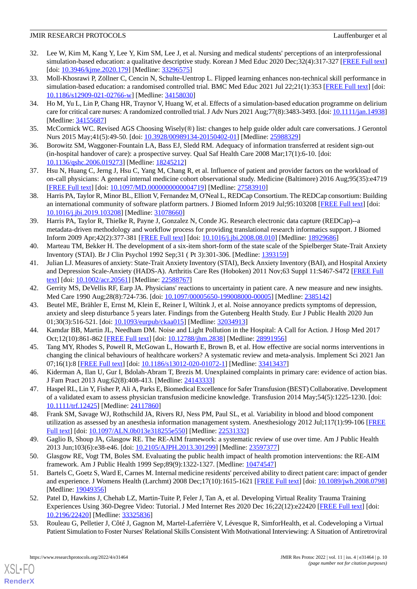- 32. Lee W, Kim M, Kang Y, Lee Y, Kim SM, Lee J, et al. Nursing and medical students' perceptions of an interprofessional simulation-based education: a qualitative descriptive study. Korean J Med Educ 2020 Dec;32(4):317-327 [\[FREE Full text](https://dx.doi.org/10.3946/kjme.2020.179)] [doi: <u>[10.3946/kjme.2020.179](http://dx.doi.org/10.3946/kjme.2020.179)</u>] [Medline: [33296575\]](http://www.ncbi.nlm.nih.gov/entrez/query.fcgi?cmd=Retrieve&db=PubMed&list_uids=33296575&dopt=Abstract)
- 33. Moll-Khosrawi P, Zöllner C, Cencin N, Schulte-Uentrop L. Flipped learning enhances non-technical skill performance in simulation-based education: a randomised controlled trial. BMC Med Educ 2021 Jul 22;21(1):353 [\[FREE Full text\]](https://bmcmededuc.biomedcentral.com/articles/10.1186/s12909-021-02766-w) [doi: [10.1186/s12909-021-02766-w\]](http://dx.doi.org/10.1186/s12909-021-02766-w) [Medline: [34158030\]](http://www.ncbi.nlm.nih.gov/entrez/query.fcgi?cmd=Retrieve&db=PubMed&list_uids=34158030&dopt=Abstract)
- <span id="page-9-0"></span>34. Ho M, Yu L, Lin P, Chang HR, Traynor V, Huang W, et al. Effects of a simulation-based education programme on delirium care for critical care nurses: A randomized controlled trial. J Adv Nurs 2021 Aug;77(8):3483-3493. [doi: [10.1111/jan.14938](http://dx.doi.org/10.1111/jan.14938)] [Medline: [34155687](http://www.ncbi.nlm.nih.gov/entrez/query.fcgi?cmd=Retrieve&db=PubMed&list_uids=34155687&dopt=Abstract)]
- <span id="page-9-2"></span><span id="page-9-1"></span>35. McCormick WC. Revised AGS Choosing Wisely(®) list: changes to help guide older adult care conversations. J Gerontol Nurs 2015 May;41(5):49-50. [doi: [10.3928/00989134-20150402-01](http://dx.doi.org/10.3928/00989134-20150402-01)] [Medline: [25988329\]](http://www.ncbi.nlm.nih.gov/entrez/query.fcgi?cmd=Retrieve&db=PubMed&list_uids=25988329&dopt=Abstract)
- <span id="page-9-3"></span>36. Borowitz SM, Waggoner-Fountain LA, Bass EJ, Sledd RM. Adequacy of information transferred at resident sign-out (in-hospital handover of care): a prospective survey. Qual Saf Health Care 2008 Mar;17(1):6-10. [doi: [10.1136/qshc.2006.019273](http://dx.doi.org/10.1136/qshc.2006.019273)] [Medline: [18245212\]](http://www.ncbi.nlm.nih.gov/entrez/query.fcgi?cmd=Retrieve&db=PubMed&list_uids=18245212&dopt=Abstract)
- <span id="page-9-4"></span>37. Hsu N, Huang C, Jerng J, Hsu C, Yang M, Chang R, et al. Influence of patient and provider factors on the workload of on-call physicians: A general internal medicine cohort observational study. Medicine (Baltimore) 2016 Aug;95(35):e4719 [[FREE Full text](https://doi.org/10.1097/MD.0000000000004719)] [doi: [10.1097/MD.0000000000004719](http://dx.doi.org/10.1097/MD.0000000000004719)] [Medline: [27583910](http://www.ncbi.nlm.nih.gov/entrez/query.fcgi?cmd=Retrieve&db=PubMed&list_uids=27583910&dopt=Abstract)]
- <span id="page-9-5"></span>38. Harris PA, Taylor R, Minor BL, Elliott V, Fernandez M, O'Neal L, REDCap Consortium. The REDCap consortium: Building an international community of software platform partners. J Biomed Inform 2019 Jul;95:103208 [[FREE Full text](https://linkinghub.elsevier.com/retrieve/pii/S1532-0464(19)30126-1)] [doi: [10.1016/j.jbi.2019.103208\]](http://dx.doi.org/10.1016/j.jbi.2019.103208) [Medline: [31078660](http://www.ncbi.nlm.nih.gov/entrez/query.fcgi?cmd=Retrieve&db=PubMed&list_uids=31078660&dopt=Abstract)]
- <span id="page-9-6"></span>39. Harris PA, Taylor R, Thielke R, Payne J, Gonzalez N, Conde JG. Research electronic data capture (REDCap)--a metadata-driven methodology and workflow process for providing translational research informatics support. J Biomed Inform 2009 Apr;42(2):377-381 [\[FREE Full text\]](http://linkinghub.elsevier.com/retrieve/pii/S1532-0464(08)00122-6) [doi: [10.1016/j.jbi.2008.08.010](http://dx.doi.org/10.1016/j.jbi.2008.08.010)] [Medline: [18929686](http://www.ncbi.nlm.nih.gov/entrez/query.fcgi?cmd=Retrieve&db=PubMed&list_uids=18929686&dopt=Abstract)]
- <span id="page-9-7"></span>40. Marteau TM, Bekker H. The development of a six-item short-form of the state scale of the Spielberger State-Trait Anxiety Inventory (STAI). Br J Clin Psychol 1992 Sep;31 ( Pt 3):301-306. [Medline: [1393159\]](http://www.ncbi.nlm.nih.gov/entrez/query.fcgi?cmd=Retrieve&db=PubMed&list_uids=1393159&dopt=Abstract)
- <span id="page-9-9"></span><span id="page-9-8"></span>41. Julian LJ. Measures of anxiety: State-Trait Anxiety Inventory (STAI), Beck Anxiety Inventory (BAI), and Hospital Anxiety and Depression Scale-Anxiety (HADS-A). Arthritis Care Res (Hoboken) 2011 Nov;63 Suppl 11:S467-S472 [[FREE Full](http://dx.doi.org/10.1002/acr.20561) [text](http://dx.doi.org/10.1002/acr.20561)] [doi: [10.1002/acr.20561](http://dx.doi.org/10.1002/acr.20561)] [Medline: [22588767\]](http://www.ncbi.nlm.nih.gov/entrez/query.fcgi?cmd=Retrieve&db=PubMed&list_uids=22588767&dopt=Abstract)
- 42. Gerrity MS, DeVellis RF, Earp JA. Physicians' reactions to uncertainty in patient care. A new measure and new insights. Med Care 1990 Aug;28(8):724-736. [doi: [10.1097/00005650-199008000-00005](http://dx.doi.org/10.1097/00005650-199008000-00005)] [Medline: [2385142](http://www.ncbi.nlm.nih.gov/entrez/query.fcgi?cmd=Retrieve&db=PubMed&list_uids=2385142&dopt=Abstract)]
- <span id="page-9-11"></span><span id="page-9-10"></span>43. Beutel ME, Brähler E, Ernst M, Klein E, Reiner I, Wiltink J, et al. Noise annoyance predicts symptoms of depression, anxiety and sleep disturbance 5 years later. Findings from the Gutenberg Health Study. Eur J Public Health 2020 Jun 01;30(3):516-521. [doi: [10.1093/eurpub/ckaa015\]](http://dx.doi.org/10.1093/eurpub/ckaa015) [Medline: [32034913](http://www.ncbi.nlm.nih.gov/entrez/query.fcgi?cmd=Retrieve&db=PubMed&list_uids=32034913&dopt=Abstract)]
- <span id="page-9-12"></span>44. Kamdar BB, Martin JL, Needham DM. Noise and Light Pollution in the Hospital: A Call for Action. J Hosp Med 2017 Oct;12(10):861-862 [\[FREE Full text\]](http://europepmc.org/abstract/MED/28991956) [doi: [10.12788/jhm.2838](http://dx.doi.org/10.12788/jhm.2838)] [Medline: [28991956](http://www.ncbi.nlm.nih.gov/entrez/query.fcgi?cmd=Retrieve&db=PubMed&list_uids=28991956&dopt=Abstract)]
- <span id="page-9-13"></span>45. Tang MY, Rhodes S, Powell R, McGowan L, Howarth E, Brown B, et al. How effective are social norms interventions in changing the clinical behaviours of healthcare workers? A systematic review and meta-analysis. Implement Sci 2021 Jan 07;16(1):8 [[FREE Full text\]](https://implementationscience.biomedcentral.com/articles/10.1186/s13012-020-01072-1) [doi: [10.1186/s13012-020-01072-1](http://dx.doi.org/10.1186/s13012-020-01072-1)] [Medline: [33413437](http://www.ncbi.nlm.nih.gov/entrez/query.fcgi?cmd=Retrieve&db=PubMed&list_uids=33413437&dopt=Abstract)]
- <span id="page-9-14"></span>46. Kiderman A, Ilan U, Gur I, Bdolah-Abram T, Brezis M. Unexplained complaints in primary care: evidence of action bias. J Fam Pract 2013 Aug;62(8):408-413. [Medline: [24143333](http://www.ncbi.nlm.nih.gov/entrez/query.fcgi?cmd=Retrieve&db=PubMed&list_uids=24143333&dopt=Abstract)]
- <span id="page-9-15"></span>47. Haspel RL, Lin Y, Fisher P, Ali A, Parks E, Biomedical Excellence for Safer Transfusion (BEST) Collaborative. Development of a validated exam to assess physician transfusion medicine knowledge. Transfusion 2014 May;54(5):1225-1230. [doi: [10.1111/trf.12425\]](http://dx.doi.org/10.1111/trf.12425) [Medline: [24117860](http://www.ncbi.nlm.nih.gov/entrez/query.fcgi?cmd=Retrieve&db=PubMed&list_uids=24117860&dopt=Abstract)]
- <span id="page-9-17"></span><span id="page-9-16"></span>48. Frank SM, Savage WJ, Rothschild JA, Rivers RJ, Ness PM, Paul SL, et al. Variability in blood and blood component utilization as assessed by an anesthesia information management system. Anesthesiology 2012 Jul;117(1):99-106 [\[FREE](https://pubs.asahq.org/anesthesiology/article-lookup/doi/10.1097/ALN.0b013e318255e550) [Full text\]](https://pubs.asahq.org/anesthesiology/article-lookup/doi/10.1097/ALN.0b013e318255e550) [doi: [10.1097/ALN.0b013e318255e550](http://dx.doi.org/10.1097/ALN.0b013e318255e550)] [Medline: [22531332](http://www.ncbi.nlm.nih.gov/entrez/query.fcgi?cmd=Retrieve&db=PubMed&list_uids=22531332&dopt=Abstract)]
- 49. Gaglio B, Shoup JA, Glasgow RE. The RE-AIM framework: a systematic review of use over time. Am J Public Health 2013 Jun;103(6):e38-e46. [doi: [10.2105/AJPH.2013.301299\]](http://dx.doi.org/10.2105/AJPH.2013.301299) [Medline: [23597377\]](http://www.ncbi.nlm.nih.gov/entrez/query.fcgi?cmd=Retrieve&db=PubMed&list_uids=23597377&dopt=Abstract)
- <span id="page-9-18"></span>50. Glasgow RE, Vogt TM, Boles SM. Evaluating the public health impact of health promotion interventions: the RE-AIM framework. Am J Public Health 1999 Sep;89(9):1322-1327. [Medline: [10474547](http://www.ncbi.nlm.nih.gov/entrez/query.fcgi?cmd=Retrieve&db=PubMed&list_uids=10474547&dopt=Abstract)]
- 51. Bartels C, Goetz S, Ward E, Carnes M. Internal medicine residents' perceived ability to direct patient care: impact of gender and experience. J Womens Health (Larchmt) 2008 Dec;17(10):1615-1621 [[FREE Full text](http://europepmc.org/abstract/MED/19049356)] [doi: [10.1089/jwh.2008.0798](http://dx.doi.org/10.1089/jwh.2008.0798)] [Medline: [19049356](http://www.ncbi.nlm.nih.gov/entrez/query.fcgi?cmd=Retrieve&db=PubMed&list_uids=19049356&dopt=Abstract)]
- 52. Patel D, Hawkins J, Chehab LZ, Martin-Tuite P, Feler J, Tan A, et al. Developing Virtual Reality Trauma Training Experiences Using 360-Degree Video: Tutorial. J Med Internet Res 2020 Dec 16;22(12):e22420 [[FREE Full text](https://www.jmir.org/2020/12/e22420/)] [doi: [10.2196/22420\]](http://dx.doi.org/10.2196/22420) [Medline: [33325836\]](http://www.ncbi.nlm.nih.gov/entrez/query.fcgi?cmd=Retrieve&db=PubMed&list_uids=33325836&dopt=Abstract)
- 53. Rouleau G, Pelletier J, Côté J, Gagnon M, Martel-Laferrière V, Lévesque R, SimforHealth, et al. Codeveloping a Virtual Patient Simulation to Foster Nurses' Relational Skills Consistent With Motivational Interviewing: A Situation of Antiretroviral